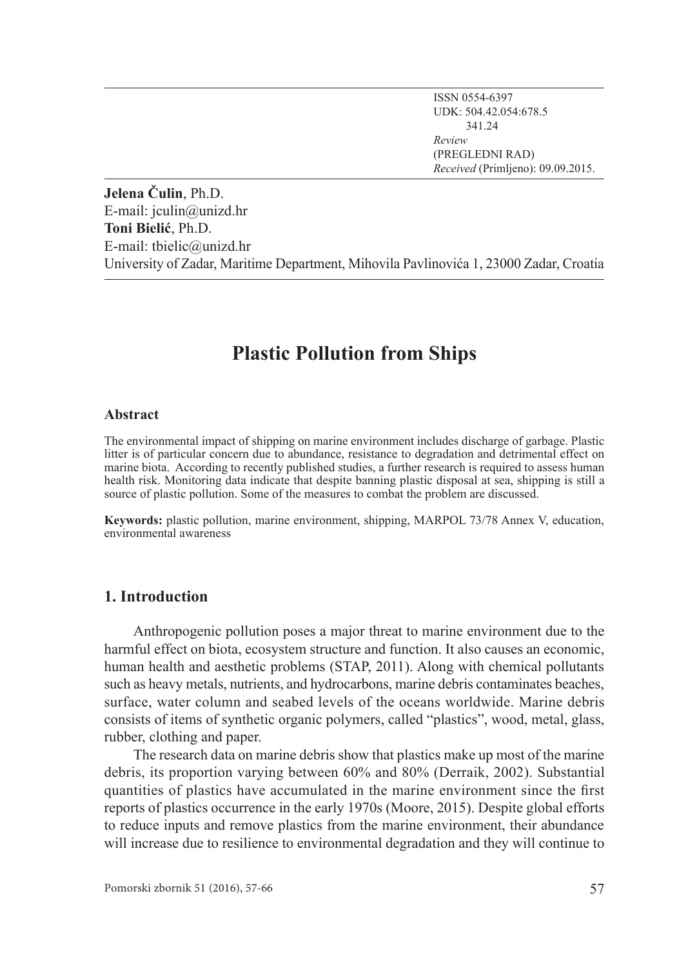ISSN 0554-6397 UDK: 504.42.054:678.5 341.24 *Review* (PREGLEDNI RAD) *Received* (Primljeno): 09.09.2015.

**Jelena Čulin**, Ph.D. E-mail: jculin@unizd.hr **Toni Bielić**, Ph.D. E-mail: tbielic@unizd.hr University of Zadar, Maritime Department, Mihovila Pavlinovića 1, 23000 Zadar, Croatia

# **Plastic Pollution from Ships**

#### **Abstract**

The environmental impact of shipping on marine environment includes discharge of garbage. Plastic litter is of particular concern due to abundance, resistance to degradation and detrimental effect on marine biota. According to recently published studies, a further research is required to assess human health risk. Monitoring data indicate that despite banning plastic disposal at sea, shipping is still a source of plastic pollution. Some of the measures to combat the problem are discussed.

**Keywords:** plastic pollution, marine environment, shipping, MARPOL 73/78 Annex V, education, environmental awareness

#### **1. Introduction**

Anthropogenic pollution poses a major threat to marine environment due to the harmful effect on biota, ecosystem structure and function. It also causes an economic, human health and aesthetic problems (STAP, 2011). Along with chemical pollutants such as heavy metals, nutrients, and hydrocarbons, marine debris contaminates beaches, surface, water column and seabed levels of the oceans worldwide. Marine debris consists of items of synthetic organic polymers, called "plastics", wood, metal, glass, rubber, clothing and paper.

The research data on marine debris show that plastics make up most of the marine debris, its proportion varying between 60% and 80% (Derraik, 2002). Substantial quantities of plastics have accumulated in the marine environment since the first reports of plastics occurrence in the early 1970s (Moore, 2015). Despite global efforts to reduce inputs and remove plastics from the marine environment, their abundance will increase due to resilience to environmental degradation and they will continue to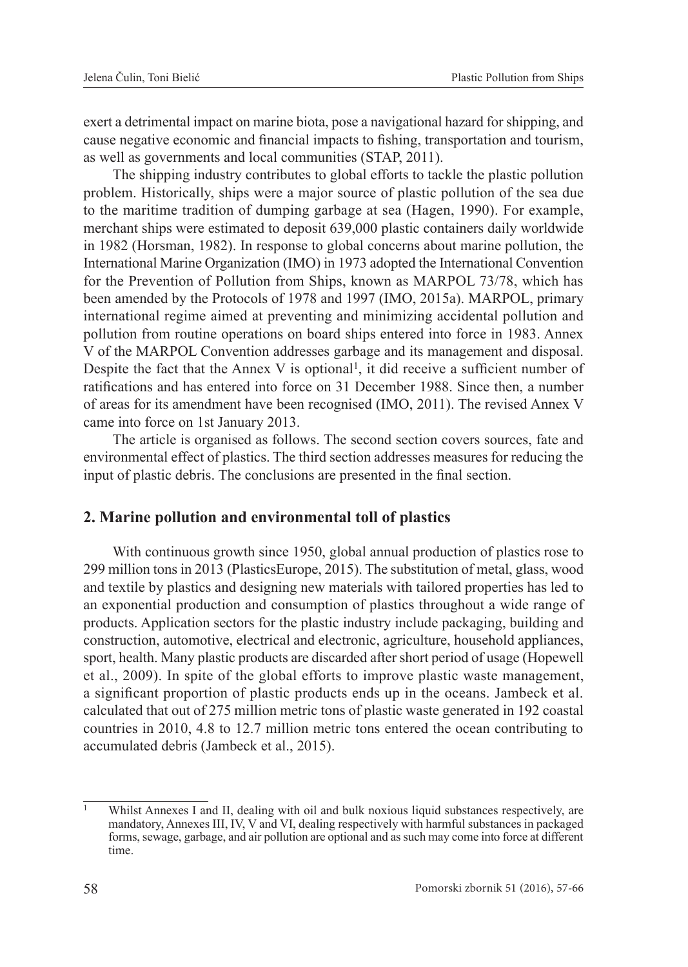exert a detrimental impact on marine biota, pose a navigational hazard for shipping, and cause negative economic and financial impacts to fishing, transportation and tourism, as well as governments and local communities (STAP, 2011).

The shipping industry contributes to global efforts to tackle the plastic pollution problem. Historically, ships were a major source of plastic pollution of the sea due to the maritime tradition of dumping garbage at sea (Hagen, 1990). For example, merchant ships were estimated to deposit 639,000 plastic containers daily worldwide in 1982 (Horsman, 1982). In response to global concerns about marine pollution, the International Marine Organization (IMO) in 1973 adopted the International Convention for the Prevention of Pollution from Ships, known as MARPOL 73/78, which has been amended by the Protocols of 1978 and 1997 (IMO, 2015a). MARPOL, primary international regime aimed at preventing and minimizing accidental pollution and pollution from routine operations on board ships entered into force in 1983. Annex V of the MARPOL Convention addresses garbage and its management and disposal. Despite the fact that the Annex V is optional<sup>1</sup>, it did receive a sufficient number of ratifications and has entered into force on 31 December 1988. Since then, a number of areas for its amendment have been recognised (IMO, 2011). The revised Annex V came into force on 1st January 2013.

The article is organised as follows. The second section covers sources, fate and environmental effect of plastics. The third section addresses measures for reducing the input of plastic debris. The conclusions are presented in the final section.

### **2. Marine pollution and environmental toll of plastics**

With continuous growth since 1950, global annual production of plastics rose to 299 million tons in 2013 (PlasticsEurope, 2015). The substitution of metal, glass, wood and textile by plastics and designing new materials with tailored properties has led to an exponential production and consumption of plastics throughout a wide range of products. Application sectors for the plastic industry include packaging, building and construction, automotive, electrical and electronic, agriculture, household appliances, sport, health. Many plastic products are discarded after short period of usage (Hopewell et al., 2009). In spite of the global efforts to improve plastic waste management, a significant proportion of plastic products ends up in the oceans. Jambeck et al. calculated that out of 275 million metric tons of plastic waste generated in 192 coastal countries in 2010, 4.8 to 12.7 million metric tons entered the ocean contributing to accumulated debris (Jambeck et al., 2015).

 $\frac{1}{1}$  Whilst Annexes I and II, dealing with oil and bulk noxious liquid substances respectively, are mandatory, Annexes III, IV, V and VI, dealing respectively with harmful substances in packaged forms, sewage, garbage, and air pollution are optional and as such may come into force at different time.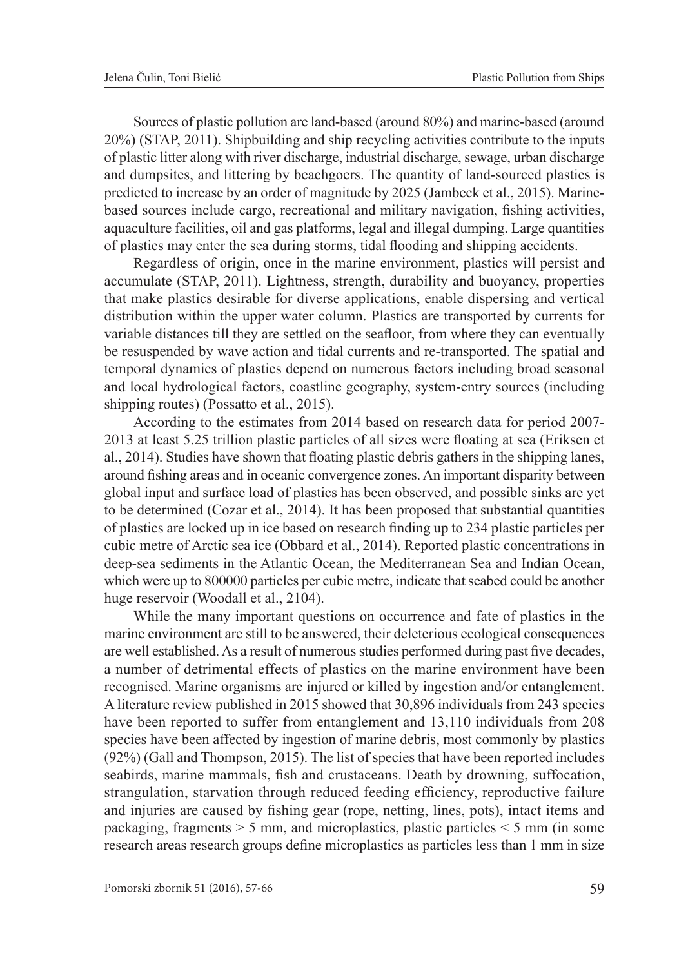Sources of plastic pollution are land-based (around 80%) and marine-based (around 20%) (STAP, 2011). Shipbuilding and ship recycling activities contribute to the inputs of plastic litter along with river discharge, industrial discharge, sewage, urban discharge and dumpsites, and littering by beachgoers. The quantity of land-sourced plastics is predicted to increase by an order of magnitude by 2025 (Jambeck et al., 2015). Marinebased sources include cargo, recreational and military navigation, fishing activities, aquaculture facilities, oil and gas platforms, legal and illegal dumping. Large quantities of plastics may enter the sea during storms, tidal flooding and shipping accidents.

Regardless of origin, once in the marine environment, plastics will persist and accumulate (STAP, 2011). Lightness, strength, durability and buoyancy, properties that make plastics desirable for diverse applications, enable dispersing and vertical distribution within the upper water column. Plastics are transported by currents for variable distances till they are settled on the seafloor, from where they can eventually be resuspended by wave action and tidal currents and re-transported. The spatial and temporal dynamics of plastics depend on numerous factors including broad seasonal and local hydrological factors, coastline geography, system-entry sources (including shipping routes) (Possatto et al., 2015).

According to the estimates from 2014 based on research data for period 2007- 2013 at least 5.25 trillion plastic particles of all sizes were floating at sea (Eriksen et al., 2014). Studies have shown that floating plastic debris gathers in the shipping lanes, around fishing areas and in oceanic convergence zones. An important disparity between global input and surface load of plastics has been observed, and possible sinks are yet to be determined (Cozar et al., 2014). It has been proposed that substantial quantities of plastics are locked up in ice based on research finding up to 234 plastic particles per cubic metre of Arctic sea ice (Obbard et al., 2014). Reported plastic concentrations in deep-sea sediments in the Atlantic Ocean, the Mediterranean Sea and Indian Ocean, which were up to 800000 particles per cubic metre, indicate that seabed could be another huge reservoir (Woodall et al., 2104).

While the many important questions on occurrence and fate of plastics in the marine environment are still to be answered, their deleterious ecological consequences are well established. As a result of numerous studies performed during past five decades, a number of detrimental effects of plastics on the marine environment have been recognised. Marine organisms are injured or killed by ingestion and/or entanglement. A literature review published in 2015 showed that 30,896 individuals from 243 species have been reported to suffer from entanglement and 13,110 individuals from 208 species have been affected by ingestion of marine debris, most commonly by plastics (92%) (Gall and Thompson, 2015). The list of species that have been reported includes seabirds, marine mammals, fish and crustaceans. Death by drowning, suffocation, strangulation, starvation through reduced feeding efficiency, reproductive failure and injuries are caused by fishing gear (rope, netting, lines, pots), intact items and packaging, fragments > 5 mm, and microplastics, plastic particles < 5 mm (in some research areas research groups define microplastics as particles less than 1 mm in size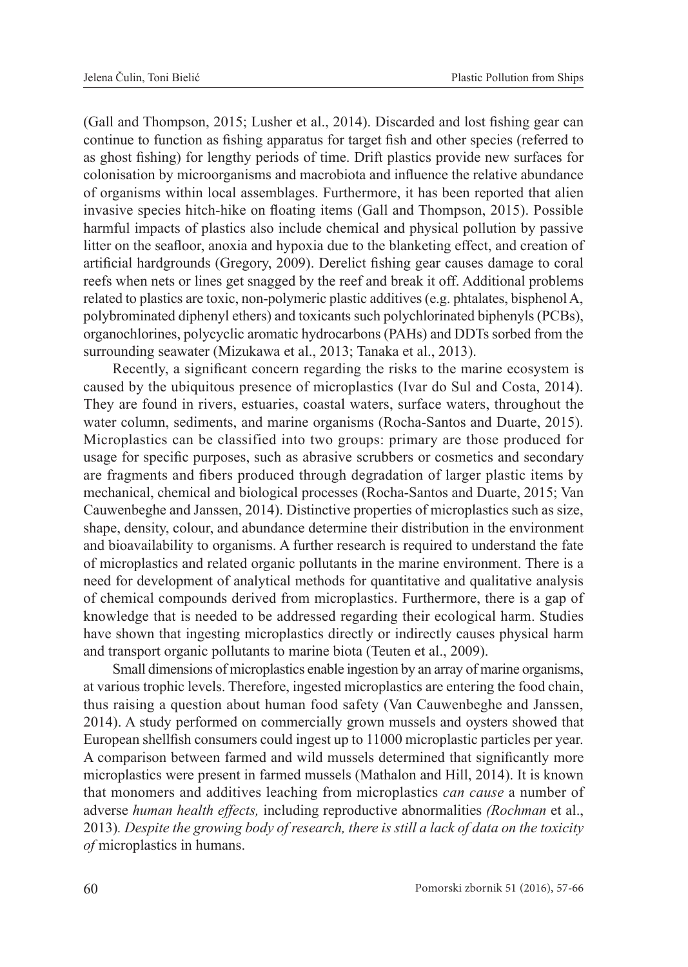(Gall and Thompson, 2015; Lusher et al., 2014). Discarded and lost fishing gear can continue to function as fishing apparatus for target fish and other species (referred to as ghost fishing) for lengthy periods of time. Drift plastics provide new surfaces for colonisation by microorganisms and macrobiota and influence the relative abundance of organisms within local assemblages. Furthermore, it has been reported that alien invasive species hitch-hike on floating items (Gall and Thompson, 2015). Possible harmful impacts of plastics also include chemical and physical pollution by passive litter on the seafloor, anoxia and hypoxia due to the blanketing effect, and creation of artificial hardgrounds (Gregory, 2009). Derelict fishing gear causes damage to coral reefs when nets or lines get snagged by the reef and break it off. Additional problems related to plastics are toxic, non-polymeric plastic additives (e.g. phtalates, bisphenol A, polybrominated diphenyl ethers) and toxicants such polychlorinated biphenyls (PCBs), organochlorines, polycyclic aromatic hydrocarbons (PAHs) and DDTs sorbed from the surrounding seawater (Mizukawa et al., 2013; Tanaka et al., 2013).

Recently, a significant concern regarding the risks to the marine ecosystem is caused by the ubiquitous presence of microplastics (Ivar do Sul and Costa, 2014). They are found in rivers, estuaries, coastal waters, surface waters, throughout the water column, sediments, and marine organisms (Rocha-Santos and Duarte, 2015). Microplastics can be classified into two groups: primary are those produced for usage for specific purposes, such as abrasive scrubbers or cosmetics and secondary are fragments and fibers produced through degradation of larger plastic items by mechanical, chemical and biological processes (Rocha-Santos and Duarte, 2015; Van Cauwenbeghe and Janssen, 2014). Distinctive properties of microplastics such as size, shape, density, colour, and abundance determine their distribution in the environment and bioavailability to organisms. A further research is required to understand the fate of microplastics and related organic pollutants in the marine environment. There is a need for development of analytical methods for quantitative and qualitative analysis of chemical compounds derived from microplastics. Furthermore, there is a gap of knowledge that is needed to be addressed regarding their ecological harm. Studies have shown that ingesting microplastics directly or indirectly causes physical harm and transport organic pollutants to marine biota (Teuten et al., 2009).

Small dimensions of microplastics enable ingestion by an array of marine organisms, at various trophic levels. Therefore, ingested microplastics are entering the food chain, thus raising a question about human food safety (Van Cauwenbeghe and Janssen, 2014). A study performed on commercially grown mussels and oysters showed that European shellfish consumers could ingest up to 11000 microplastic particles per year. A comparison between farmed and wild mussels determined that significantly more microplastics were present in farmed mussels (Mathalon and Hill, 2014). It is known that monomers and additives leaching from microplastics *can cause* a number of adverse *human health effects,* including reproductive abnormalities *(Rochman* et al., 2013)*. Despite the growing body of research, there is still a lack of data on the toxicity of* microplastics in humans.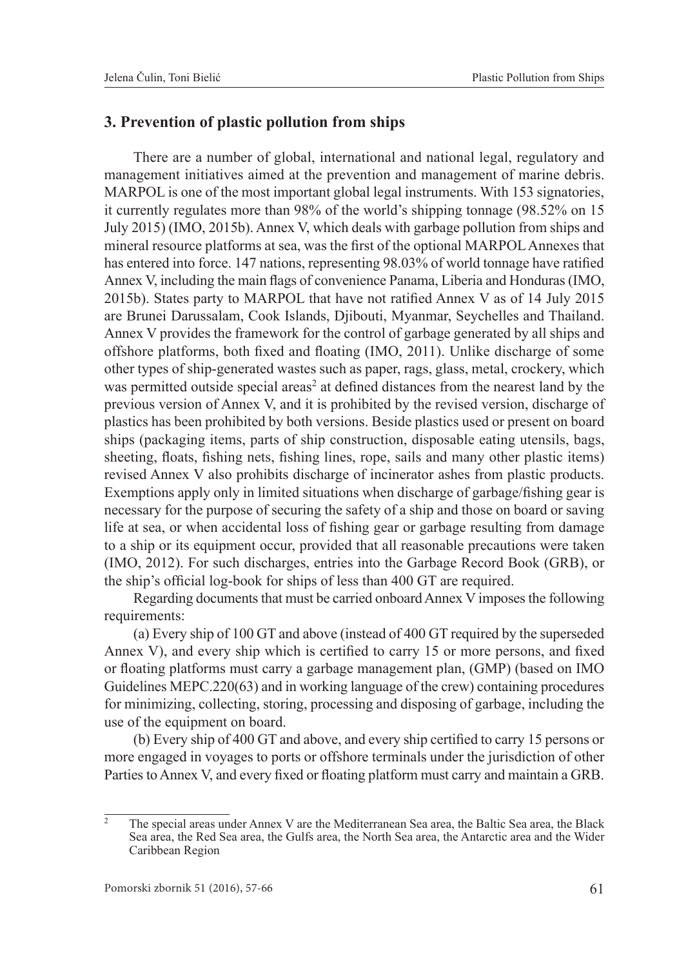# **3. Prevention of plastic pollution from ships**

There are a number of global, international and national legal, regulatory and management initiatives aimed at the prevention and management of marine debris. MARPOL is one of the most important global legal instruments. With 153 signatories, it currently regulates more than 98% of the world's shipping tonnage (98.52% on 15 July 2015) (IMO, 2015b). Annex V, which deals with garbage pollution from ships and mineral resource platforms at sea, was the first of the optional MARPOL Annexes that has entered into force. 147 nations, representing 98.03% of world tonnage have ratified Annex V, including the main flags of convenience Panama, Liberia and Honduras (IMO, 2015b). States party to MARPOL that have not ratified Annex V as of 14 July 2015 are Brunei Darussalam, Cook Islands, Djibouti, Myanmar, Seychelles and Thailand. Annex V provides the framework for the control of garbage generated by all ships and offshore platforms, both fixed and floating (IMO, 2011). Unlike discharge of some other types of ship-generated wastes such as paper, rags, glass, metal, crockery, which was permitted outside special areas<sup>2</sup> at defined distances from the nearest land by the previous version of Annex V, and it is prohibited by the revised version, discharge of plastics has been prohibited by both versions. Beside plastics used or present on board ships (packaging items, parts of ship construction, disposable eating utensils, bags, sheeting, floats, fishing nets, fishing lines, rope, sails and many other plastic items) revised Annex V also prohibits discharge of incinerator ashes from plastic products. Exemptions apply only in limited situations when discharge of garbage/fishing gear is necessary for the purpose of securing the safety of a ship and those on board or saving life at sea, or when accidental loss of fishing gear or garbage resulting from damage to a ship or its equipment occur, provided that all reasonable precautions were taken (IMO, 2012). For such discharges, entries into the Garbage Record Book (GRB), or the ship's official log-book for ships of less than 400 GT are required.

Regarding documents that must be carried onboard Annex V imposes the following requirements:

(a) Every ship of 100 GT and above (instead of 400 GT required by the superseded Annex V), and every ship which is certified to carry 15 or more persons, and fixed or floating platforms must carry a garbage management plan, (GMP) (based on IMO Guidelines MEPC.220(63) and in working language of the crew) containing procedures for minimizing, collecting, storing, processing and disposing of garbage, including the use of the equipment on board.

(b) Every ship of 400 GT and above, and every ship certified to carry 15 persons or more engaged in voyages to ports or offshore terminals under the jurisdiction of other Parties to Annex V, and every fixed or floating platform must carry and maintain a GRB.

 $\frac{1}{2}$  The special areas under Annex V are the Mediterranean Sea area, the Baltic Sea area, the Black Sea area, the Red Sea area, the Gulfs area, the North Sea area, the Antarctic area and the Wider Caribbean Region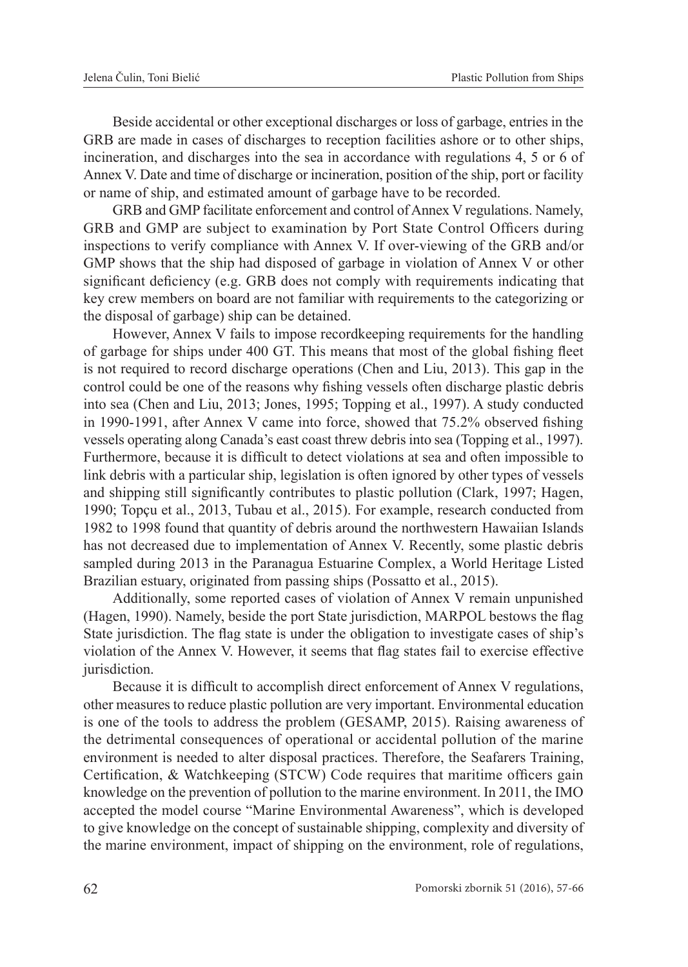Beside accidental or other exceptional discharges or loss of garbage, entries in the GRB are made in cases of discharges to reception facilities ashore or to other ships, incineration, and discharges into the sea in accordance with regulations 4, 5 or 6 of Annex V. Date and time of discharge or incineration, position of the ship, port or facility or name of ship, and estimated amount of garbage have to be recorded.

GRB and GMP facilitate enforcement and control of Annex V regulations. Namely, GRB and GMP are subject to examination by Port State Control Officers during inspections to verify compliance with Annex V. If over-viewing of the GRB and/or GMP shows that the ship had disposed of garbage in violation of Annex V or other significant deficiency (e.g. GRB does not comply with requirements indicating that key crew members on board are not familiar with requirements to the categorizing or the disposal of garbage) ship can be detained.

However, Annex V fails to impose recordkeeping requirements for the handling of garbage for ships under 400 GT. This means that most of the global fishing fleet is not required to record discharge operations (Chen and Liu, 2013). This gap in the control could be one of the reasons why fishing vessels often discharge plastic debris into sea (Chen and Liu, 2013; Jones, 1995; Topping et al., 1997). A study conducted in 1990-1991, after Annex V came into force, showed that 75.2% observed fishing vessels operating along Canada's east coast threw debris into sea (Topping et al., 1997). Furthermore, because it is difficult to detect violations at sea and often impossible to link debris with a particular ship, legislation is often ignored by other types of vessels and shipping still significantly contributes to plastic pollution (Clark, 1997; Hagen, 1990; Topçu et al., 2013, Tubau et al., 2015). For example, research conducted from 1982 to 1998 found that quantity of debris around the northwestern Hawaiian Islands has not decreased due to implementation of Annex V. Recently, some plastic debris sampled during 2013 in the Paranagua Estuarine Complex, a World Heritage Listed Brazilian estuary, originated from passing ships (Possatto et al., 2015).

Additionally, some reported cases of violation of Annex V remain unpunished (Hagen, 1990). Namely, beside the port State jurisdiction, MARPOL bestows the flag State jurisdiction. The flag state is under the obligation to investigate cases of ship's violation of the Annex V. However, it seems that flag states fail to exercise effective jurisdiction.

Because it is difficult to accomplish direct enforcement of Annex V regulations, other measures to reduce plastic pollution are very important. Environmental education is one of the tools to address the problem (GESAMP, 2015). Raising awareness of the detrimental consequences of operational or accidental pollution of the marine environment is needed to alter disposal practices. Therefore, the Seafarers Training, Certification, & Watchkeeping (STCW) Code requires that maritime officers gain knowledge on the prevention of pollution to the marine environment. In 2011, the IMO accepted the model course "Marine Environmental Awareness", which is developed to give knowledge on the concept of sustainable shipping, complexity and diversity of the marine environment, impact of shipping on the environment, role of regulations,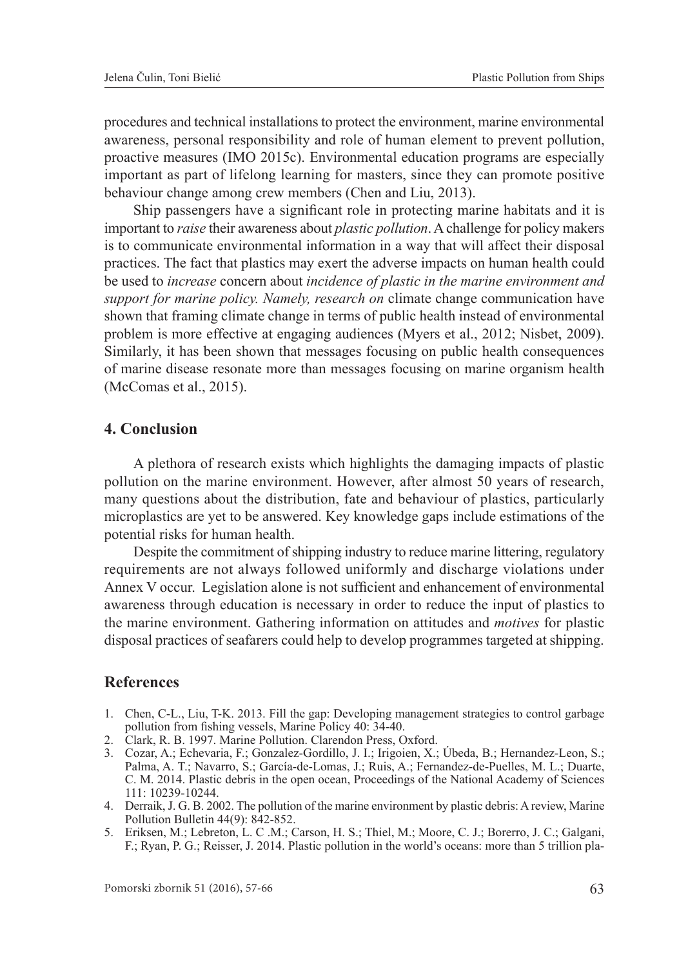procedures and technical installations to protect the environment, marine environmental awareness, personal responsibility and role of human element to prevent pollution, proactive measures (IMO 2015c). Environmental education programs are especially important as part of lifelong learning for masters, since they can promote positive behaviour change among crew members (Chen and Liu, 2013).

Ship passengers have a significant role in protecting marine habitats and it is important to *raise* their awareness about *plastic pollution*. A challenge for policy makers is to communicate environmental information in a way that will affect their disposal practices. The fact that plastics may exert the adverse impacts on human health could be used to *increase* concern about *incidence of plastic in the marine environment and support for marine policy. Namely, research on* climate change communication have shown that framing climate change in terms of public health instead of environmental problem is more effective at engaging audiences (Myers et al., 2012; Nisbet, 2009). Similarly, it has been shown that messages focusing on public health consequences of marine disease resonate more than messages focusing on marine organism health (McComas et al., 2015).

# **4. Conclusion**

A plethora of research exists which highlights the damaging impacts of plastic pollution on the marine environment. However, after almost 50 years of research, many questions about the distribution, fate and behaviour of plastics, particularly microplastics are yet to be answered. Key knowledge gaps include estimations of the potential risks for human health.

Despite the commitment of shipping industry to reduce marine littering, regulatory requirements are not always followed uniformly and discharge violations under Annex V occur. Legislation alone is not sufficient and enhancement of environmental awareness through education is necessary in order to reduce the input of plastics to the marine environment. Gathering information on attitudes and *motives* for plastic disposal practices of seafarers could help to develop programmes targeted at shipping.

### **References**

- 1. Chen, C-L., Liu, T-K. 2013. Fill the gap: Developing management strategies to control garbage pollution from fishing vessels, Marine Policy 40: 34-40.
- 2. Clark, R. B. 1997. Marine Pollution. Clarendon Press, Oxford.
- 3. Cozar, A.; Echevaria, F.; Gonzalez-Gordillo, J. I.; Irigoien, X.; Úbeda, B.; Hernandez-Leon, S.; Palma, A. T.; Navarro, S.; García-de-Lomas, J.; Ruis, A.; Fernandez-de-Puelles, M. L.; Duarte, C. M. 2014. Plastic debris in the open ocean, Proceedings of the National Academy of Sciences 111: 10239-10244.
- 4. Derraik, J. G. B. 2002. The pollution of the marine environment by plastic debris: A review, Marine Pollution Bulletin 44(9): 842-852.
- 5. Eriksen, M.; Lebreton, L. C .M.; Carson, H. S.; Thiel, M.; Moore, C. J.; Borerro, J. C.; Galgani, F.; Ryan, P. G.; Reisser, J. 2014. Plastic pollution in the world's oceans: more than 5 trillion pla-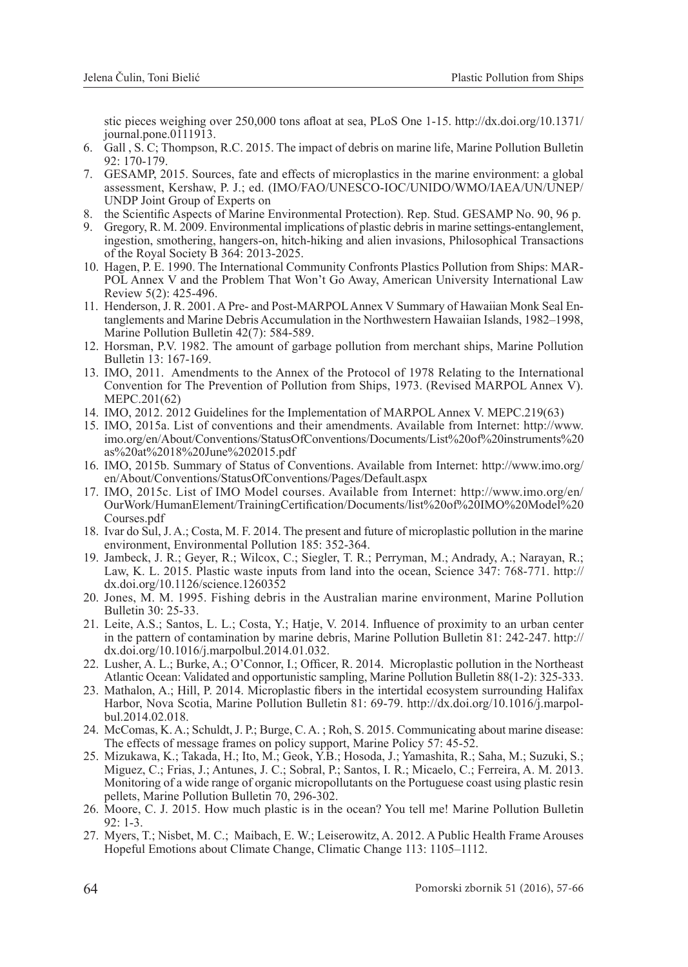stic pieces weighing over 250,000 tons afloat at sea, PLoS One 1-15. http://dx.doi.org/10.1371/ journal.pone.0111913.

- 6. Gall , S. C; Thompson, R.C. 2015. The impact of debris on marine life, Marine Pollution Bulletin 92: 170-179.
- 7. GESAMP, 2015. Sources, fate and effects of microplastics in the marine environment: a global assessment, Kershaw, P. J.; ed. (IMO/FAO/UNESCO-IOC/UNIDO/WMO/IAEA/UN/UNEP/ UNDP Joint Group of Experts on
- 8. the Scientific Aspects of Marine Environmental Protection). Rep. Stud. GESAMP No. 90, 96 p.
- 9. Gregory, R. M. 2009. Environmental implications of plastic debris in marine settings-entanglement, ingestion, smothering, hangers-on, hitch-hiking and alien invasions, Philosophical Transactions of the Royal Society B 364: 2013-2025.
- 10. Hagen, P. E. 1990. The International Community Confronts Plastics Pollution from Ships: MAR-POL Annex V and the Problem That Won't Go Away, American University International Law Review 5(2): 425-496.
- 11. Henderson, J. R. 2001. A Pre- and Post-MARPOL Annex V Summary of Hawaiian Monk Seal Entanglements and Marine Debris Accumulation in the Northwestern Hawaiian Islands, 1982–1998, Marine Pollution Bulletin 42(7): 584-589.
- 12. Horsman, P.V. 1982. The amount of garbage pollution from merchant ships, Marine Pollution Bulletin 13: 167-169.
- 13. IMO, 2011. Amendments to the Annex of the Protocol of 1978 Relating to the International Convention for The Prevention of Pollution from Ships, 1973. (Revised MARPOL Annex V). MEPC.201(62)
- 14. IMO, 2012. 2012 Guidelines for the Implementation of MARPOL Annex V. MEPC.219(63)
- 15. IMO, 2015a. List of conventions and their amendments. Available from Internet: http://www. imo.org/en/About/Conventions/StatusOfConventions/Documents/List%20of%20instruments%20 as%20at%2018%20June%202015.pdf
- 16. IMO, 2015b. Summary of Status of Conventions. Available from Internet: http://www.imo.org/ en/About/Conventions/StatusOfConventions/Pages/Default.aspx
- 17. IMO, 2015c. List of IMO Model courses. Available from Internet: http://www.imo.org/en/ OurWork/HumanElement/TrainingCertification/Documents/list%20of%20IMO%20Model%20 Courses.pdf
- 18. Ivar do Sul, J. A.; Costa, M. F. 2014. The present and future of microplastic pollution in the marine environment, Environmental Pollution 185: 352-364.
- 19. Jambeck, J. R.; Geyer, R.; Wilcox, C.; Siegler, T. R.; Perryman, M.; Andrady, A.; Narayan, R.; Law, K. L. 2015. Plastic waste inputs from land into the ocean, Science 347: 768-771. http:// dx.doi.org/10.1126/science.1260352
- 20. Jones, M. M. 1995. Fishing debris in the Australian marine environment, Marine Pollution Bulletin 30: 25-33.
- 21. Leite, A.S.; Santos, L. L.; Costa, Y.; Hatje, V. 2014. Influence of proximity to an urban center in the pattern of contamination by marine debris, Marine Pollution Bulletin 81: 242-247. http:// dx.doi.org/10.1016/j.marpolbul.2014.01.032.
- 22. Lusher, A. L.; Burke, A.; O'Connor, I.; Officer, R. 2014. Microplastic pollution in the Northeast Atlantic Ocean: Validated and opportunistic sampling, Marine Pollution Bulletin 88(1-2): 325-333.
- 23. Mathalon, A.; Hill, P. 2014. Microplastic fibers in the intertidal ecosystem surrounding Halifax Harbor, Nova Scotia, Marine Pollution Bulletin 81: 69-79. http://dx.doi.org/10.1016/j.marpolbul.2014.02.018.
- 24. McComas, K. A.; Schuldt, J. P.; Burge, C. A. ; Roh, S. 2015. Communicating about marine disease: The effects of message frames on policy support, Marine Policy 57: 45-52.
- 25. Mizukawa, K.; Takada, H.; Ito, M.; Geok, Y.B.; Hosoda, J.; Yamashita, R.; Saha, M.; Suzuki, S.; Miguez, C.; Frias, J.; Antunes, J. C.; Sobral, P.; Santos, I. R.; Micaelo, C.; Ferreira, A. M. 2013. Monitoring of a wide range of organic micropollutants on the Portuguese coast using plastic resin pellets, Marine Pollution Bulletin 70, 296-302.
- 26. Moore, C. J. 2015. How much plastic is in the ocean? You tell me! Marine Pollution Bulletin 92: 1-3.
- 27. Myers, T.; Nisbet, M. C.; Maibach, E. W.; Leiserowitz, A. 2012. A Public Health Frame Arouses Hopeful Emotions about Climate Change, Climatic Change 113: 1105–1112.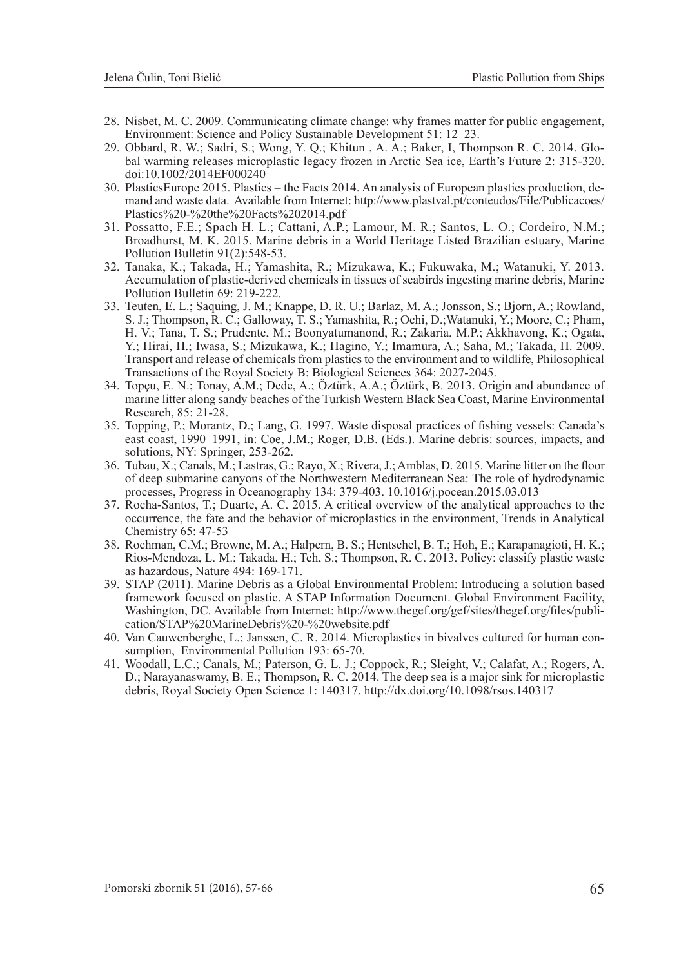- 28. Nisbet, M. C. 2009. Communicating climate change: why frames matter for public engagement, Environment: Science and Policy Sustainable Development 51: 12–23.
- 29. Obbard, R. W.; Sadri, S.; Wong, Y. Q.; Khitun , A. A.; Baker, I, Thompson R. C. 2014. Global warming releases microplastic legacy frozen in Arctic Sea ice, Earth's Future 2: 315-320. doi:10.1002/2014EF000240
- 30. PlasticsEurope 2015. Plastics the Facts 2014. An analysis of European plastics production, demand and waste data. Available from Internet: http://www.plastval.pt/conteudos/File/Publicacoes/ Plastics%20-%20the%20Facts%202014.pdf
- 31. Possatto, F.E.; Spach H. L.; Cattani, A.P.; Lamour, M. R.; Santos, L. O.; Cordeiro, N.M.; Broadhurst, M. K. 2015. Marine debris in a World Heritage Listed Brazilian estuary, Marine Pollution Bulletin 91(2):548-53.
- 32. Tanaka, K.; Takada, H.; Yamashita, R.; Mizukawa, K.; Fukuwaka, M.; Watanuki, Y. 2013. Accumulation of plastic-derived chemicals in tissues of seabirds ingesting marine debris, Marine Pollution Bulletin 69: 219-222.
- 33. Teuten, E. L.; Saquing, J. M.; Knappe, D. R. U.; Barlaz, M. A.; Jonsson, S.; Bjorn, A.; Rowland, S. J.; Thompson, R. C.; Galloway, T. S.; Yamashita, R.; Ochi, D.;Watanuki, Y.; Moore, C.; Pham, H. V.; Tana, T. S.; Prudente, M.; Boonyatumanond, R.; Zakaria, M.P.; Akkhavong, K.; Ogata, Y.; Hirai, H.; Iwasa, S.; Mizukawa, K.; Hagino, Y.; Imamura, A.; Saha, M.; Takada, H. 2009. Transport and release of chemicals from plastics to the environment and to wildlife, Philosophical Transactions of the Royal Society B: Biological Sciences 364: 2027-2045.
- 34. Topçu, E. N.; Tonay, A.M.; Dede, A.; Öztürk, A.A.; Öztürk, B. 2013. Origin and abundance of marine litter along sandy beaches of the Turkish Western Black Sea Coast, Marine Environmental Research, 85: 21-28.
- 35. Topping, P.; Morantz, D.; Lang, G. 1997. Waste disposal practices of fishing vessels: Canada's east coast, 1990–1991, in: Coe, J.M.; Roger, D.B. (Eds.). Marine debris: sources, impacts, and solutions, NY: Springer, 253-262.
- 36. Tubau, X.; Canals, M.; Lastras, G.; Rayo, X.; Rivera, J.; Amblas, D. 2015. Marine litter on the floor of deep submarine canyons of the Northwestern Mediterranean Sea: The role of hydrodynamic processes, Progress in Oceanography 134: 379-403. 10.1016/j.pocean.2015.03.013
- 37. Rocha-Santos, T.; Duarte, A. C. 2015. A critical overview of the analytical approaches to the occurrence, the fate and the behavior of microplastics in the environment, Trends in Analytical Chemistry 65: 47-53
- 38. Rochman, C.M.; Browne, M. A.; Halpern, B. S.; Hentschel, B. T.; Hoh, E.; Karapanagioti, H. K.; Rios-Mendoza, L. M.; Takada, H.; Teh, S.; Thompson, R. C. 2013. Policy: classify plastic waste as hazardous, Nature 494: 169-171.
- 39. STAP (2011). Marine Debris as a Global Environmental Problem: Introducing a solution based framework focused on plastic. A STAP Information Document. Global Environment Facility, Washington, DC. Available from Internet: http://www.thegef.org/gef/sites/thegef.org/files/publication/STAP%20MarineDebris%20-%20website.pdf
- 40. Van Cauwenberghe, L.; Janssen, C. R. 2014. Microplastics in bivalves cultured for human consumption, Environmental Pollution 193: 65-70.
- 41. Woodall, L.C.; Canals, M.; Paterson, G. L. J.; Coppock, R.; Sleight, V.; Calafat, A.; Rogers, A. D.; Narayanaswamy, B. E.; Thompson, R. C. 2014. The deep sea is a major sink for microplastic debris, Royal Society Open Science 1: 140317. http://dx.doi.org/10.1098/rsos.140317